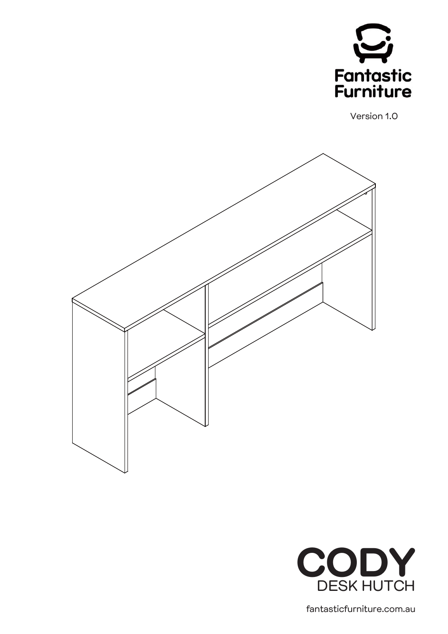

Version 1.0





fantasticfurniture.com.au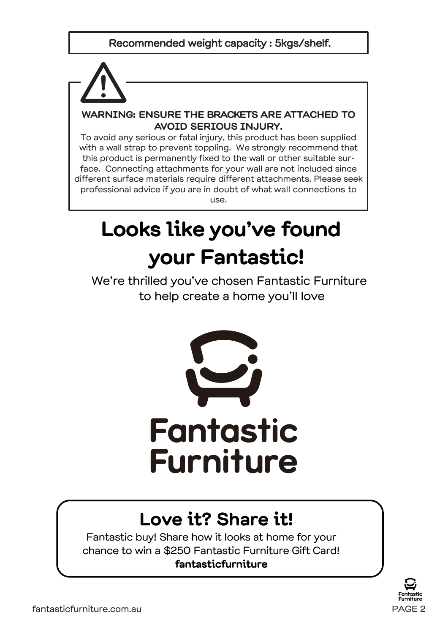#### Recommended weight capacity : 5kgs/shelf.



#### **WARNING: ENSURE THE BRACKETS ARE ATTACHED TO AVOID SERIOUS INJURY.**

To avoid any serious or fatal injury, this product has been supplied with a wall strap to prevent toppling. We strongly recommend that this product is permanently fixed to the wall or other suitable surface. Connecting attachments for your wall are not included since different surface materials require different attachments. Please seek professional advice if you are in doubt of what wall connections to use.

# **Looks like you've found your Fantastic!**

We're thrilled you've chosen Fantastic Furniture to help create a home you'll love



# **Love it? Share it!**

Fantastic buy! Share how it looks at home for your chance to win a \$250 Fantastic Furniture Gift Card! **fantasticfurniture**

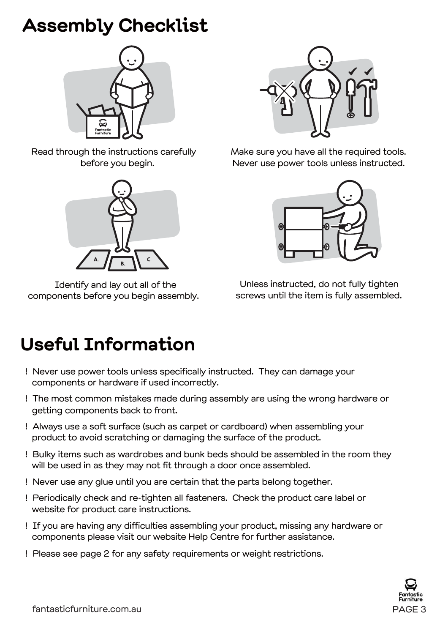# **Assembly Checklist**



Read through the instructions carefully before you begin.



Identify and lay out all of the components before you begin assembly.



Make sure you have all the required tools. Never use power tools unless instructed.



Unless instructed, do not fully tighten screws until the item is fully assembled.

# **Useful Information**

- ! Never use power tools unless specifically instructed. They can damage your components or hardware if used incorrectly.
- ! The most common mistakes made during assembly are using the wrong hardware or getting components back to front.
- ! Always use a soft surface (such as carpet or cardboard) when assembling your product to avoid scratching or damaging the surface of the product.
- ! Bulky items such as wardrobes and bunk beds should be assembled in the room they will be used in as they may not fit through a door once assembled.
- ! Never use any glue until you are certain that the parts belong together.
- ! Periodically check and re-tighten all fasteners. Check the product care label or website for product care instructions.
- ! If you are having any difficulties assembling your product, missing any hardware or components please visit our website Help Centre for further assistance.
- ! Please see page 2 for any safety requirements or weight restrictions.

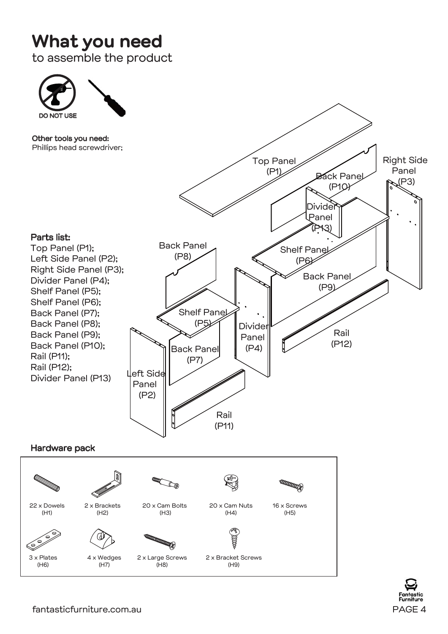### **What you need**

to assemble the product



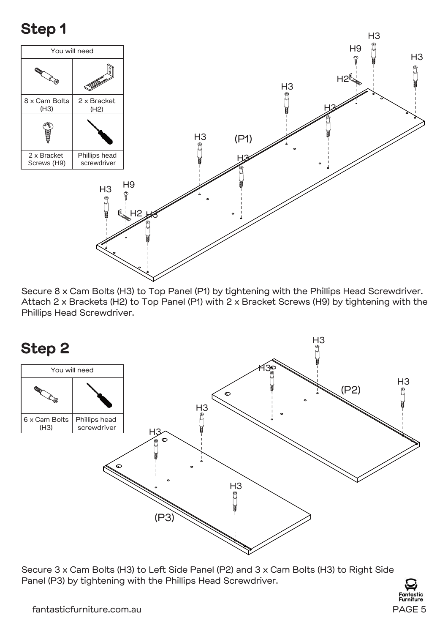#### **Step 1**



Secure 8 x Cam Bolts (H3) to Top Panel (P1) by tightening with the Phillips Head Screwdriver. Attach 2 x Brackets (H2) to Top Panel (P1) with 2 x Bracket Screws (H9) by tightening with the Phillips Head Screwdriver.



Secure 3 x Cam Bolts (H3) to Left Side Panel (P2) and 3 x Cam Bolts (H3) to Right Side Panel (P3) by tightening with the Phillips Head Screwdriver.

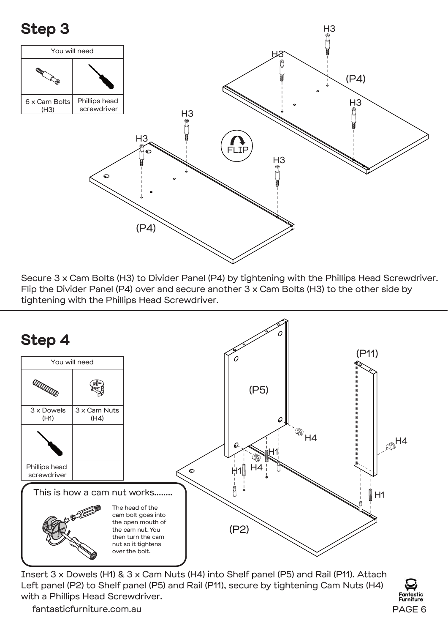

Secure 3 x Cam Bolts (H3) to Divider Panel (P4) by tightening with the Phillips Head Screwdriver. Flip the Divider Panel (P4) over and secure another 3 x Cam Bolts (H3) to the other side by tightening with the Phillips Head Screwdriver.



Insert 3 x Dowels (H1) & 3 x Cam Nuts (H4) into Shelf panel (P5) and Rail (P11). Attach Left panel (P2) to Shelf panel (P5) and Rail (P11), secure by tightening Cam Nuts (H4) with a Phillips Head Screwdriver.

urniture

fantasticfurniture.com.au PAGE 6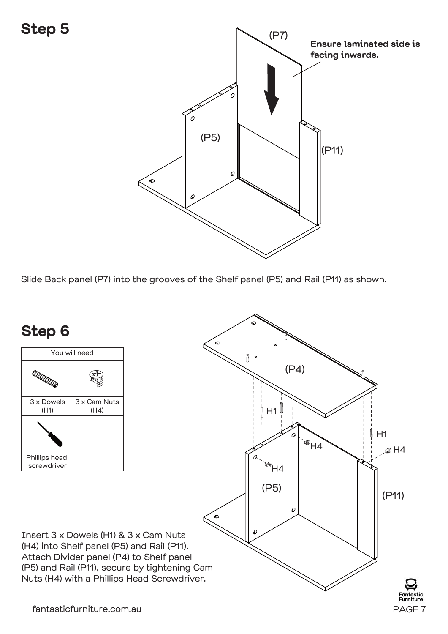

Slide Back panel (P7) into the grooves of the Shelf panel (P5) and Rail (P11) as shown.

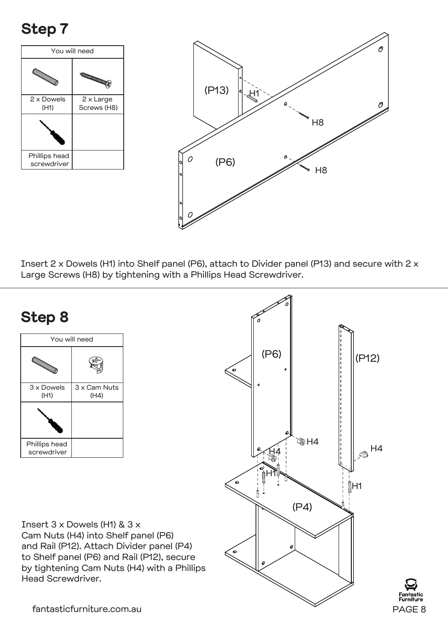### **Step 7**





 Insert 2 x Dowels (H1) into Shelf panel (P6), attach to Divider panel (P13) and secure with 2 x Large Screws (H8) by tightening with a Phillips Head Screwdriver.

#### **Step 8**



Insert 3 x Dowels (H1) & 3 x Cam Nuts (H4) into Shelf panel (P6) and Rail (P12). Attach Divider panel (P4) to Shelf panel (P6) and Rail (P12), secure by tightening Cam Nuts (H4) with a Phillips Head Screwdriver.

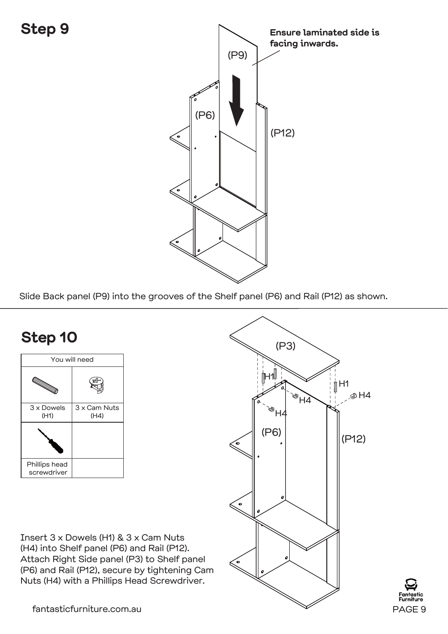#### **Step 9**



Slide Back panel (P9) into the grooves of the Shelf panel (P6) and Rail (P12) as shown.

#### **Step 10**



Insert 3 x Dowels (H1) & 3 x Cam Nuts (H4) into Shelf panel (P6) and Rail (P12). Attach Right Side panel (P3) to Shelf panel (P6) and Rail (P12), secure by tightening Cam Nuts (H4) with a Phillips Head Screwdriver.



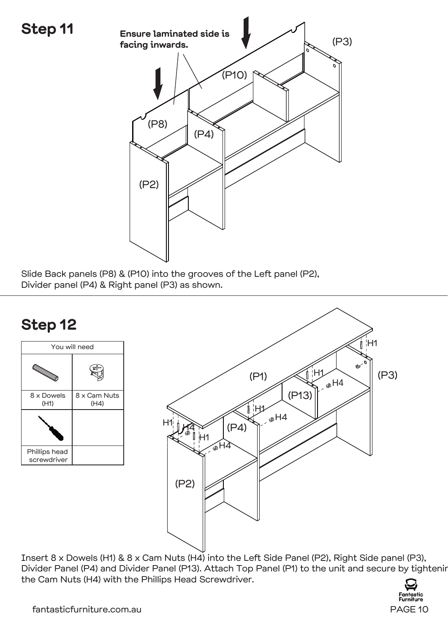

Slide Back panels (P8) & (P10) into the grooves of the Left panel (P2), Divider panel (P4) & Right panel (P3) as shown.



Insert 8 x Dowels (H1) & 8 x Cam Nuts (H4) into the Left Side Panel (P2), Right Side panel (P3), Divider Panel (P4) and Divider Panel (P13). Attach Top Panel (P1) to the unit and secure by tightenir the Cam Nuts (H4) with the Phillips Head Screwdriver.

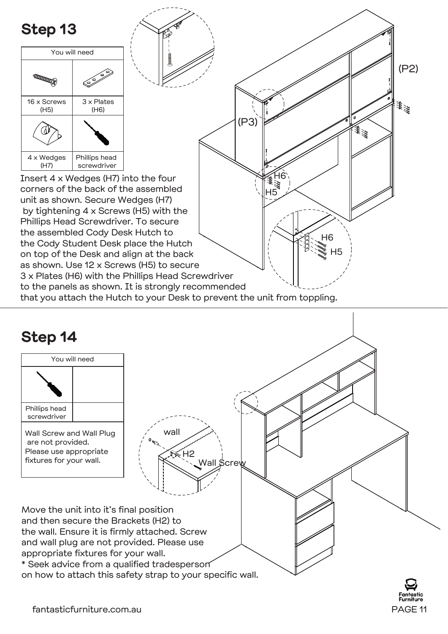



fantasticfurniture.com.au PAGE 11